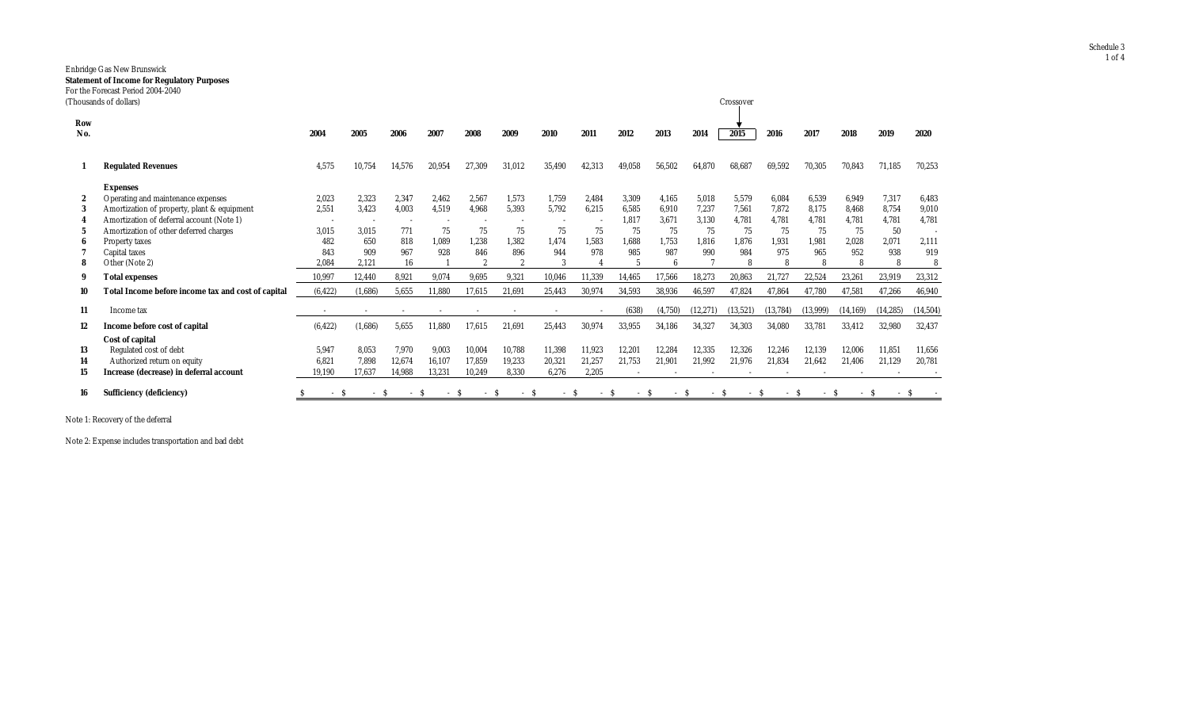## Enbridge Gas New Brunswick **Statement of Income for Regulatory Purposes** For the Forecast Period 2004-2040

|                | Thousands of dollars)                                                                                                                                                                                                                            |                                                |                                                |                                           |                                                                  |                                                       |                                                        |                                                       |                                                |                                                     |                                               |                                               | Crossover                                          |                                                    |                                                    |                                               |                                                    |                                         |
|----------------|--------------------------------------------------------------------------------------------------------------------------------------------------------------------------------------------------------------------------------------------------|------------------------------------------------|------------------------------------------------|-------------------------------------------|------------------------------------------------------------------|-------------------------------------------------------|--------------------------------------------------------|-------------------------------------------------------|------------------------------------------------|-----------------------------------------------------|-----------------------------------------------|-----------------------------------------------|----------------------------------------------------|----------------------------------------------------|----------------------------------------------------|-----------------------------------------------|----------------------------------------------------|-----------------------------------------|
| Row<br>No.     |                                                                                                                                                                                                                                                  | 2004                                           | 2005                                           | 2006                                      | 2007                                                             | 2008                                                  | 2009                                                   | 2010                                                  | 2011                                           | 2012                                                | 2013                                          | 2014                                          | 2015                                               | 2016                                               | 2017                                               | 2018                                          | 2019                                               | 2020                                    |
|                | <b>Regulated Revenues</b>                                                                                                                                                                                                                        | 4,575                                          | 10,754                                         | 14,576                                    | 20,954                                                           | 27,309                                                | 31,012                                                 | 35,490                                                | 42,313                                         | 49,058                                              | 56,502                                        | 64,870                                        | 68,687                                             | 69,592                                             | 70,305                                             | 70,843                                        | 71,185                                             | 70,253                                  |
| 2<br>3         | <b>Expenses</b><br>Operating and maintenance expenses<br>Amortization of property, plant & equipment<br>Amortization of deferral account (Note 1)<br>Amortization of other deferred charges<br>Property taxes<br>Capital taxes<br>Other (Note 2) | 2,023<br>2,551<br>3,015<br>482<br>843<br>2.084 | 2.323<br>3,423<br>3.015<br>650<br>909<br>2.121 | 2,347<br>4,003<br>771<br>818<br>967<br>16 | 2,462<br>4,519<br>$\overline{\phantom{a}}$<br>75<br>1,089<br>928 | 2.567<br>4,968<br>75<br>1.238<br>846<br>$\mathcal{P}$ | 1.573<br>5,393<br>75<br>1,382<br>896<br>$\mathfrak{p}$ | 1,759<br>5,792<br>75<br>1,474<br>944<br>$\mathcal{R}$ | 2.484<br>6.215<br>$\sim$<br>75<br>1.583<br>978 | 3,309<br>6,585<br>1,817<br>75<br>1,688<br>985<br>-5 | 4.165<br>6,910<br>3,671<br>75<br>1.753<br>987 | 5,018<br>7.237<br>3,130<br>75<br>1.816<br>990 | 5,579<br>7,561<br>4,781<br>75<br>1,876<br>984<br>8 | 6.084<br>7.872<br>4,781<br>75<br>1,931<br>975<br>8 | 6,539<br>8,175<br>4,781<br>75<br>1,981<br>965<br>8 | 6.949<br>8.468<br>4,781<br>75<br>2,028<br>952 | 7.317<br>8.754<br>4,781<br>50<br>2,071<br>938<br>R | 6.483<br>9,010<br>4,781<br>2,111<br>919 |
| 9              | <b>Total expenses</b>                                                                                                                                                                                                                            | 10,997                                         | 12,440                                         | 8,921                                     | 9,074                                                            | 9,695                                                 | 9,321                                                  | 10,046                                                | 11,339                                         | 14,465                                              | 17,566                                        | 18,273                                        | 20,863                                             | 21,727                                             | 22,524                                             | 23,261                                        | 23,919                                             | 23,312                                  |
| 10<br>11       | Total Income before income tax and cost of capital<br>Income tax                                                                                                                                                                                 | (6, 422)                                       | (1,686)                                        | 5,655                                     | 11,880                                                           | 17,615                                                | 21,691                                                 | 25,443                                                | 30,974                                         | 34,593<br>(638)                                     | 38,936<br>(4,750)                             | 46,597<br>(12, 271)                           | 47,824<br>(13,521)                                 | 47,864<br>(13, 784)                                | 47,780<br>(13,999)                                 | 47,581<br>(14, 169)                           | 47,266<br>(14, 285)                                | 46,940<br>(14, 504)                     |
| 12             | Income before cost of capital<br>Cost of capital                                                                                                                                                                                                 | (6, 422)                                       | (1,686)                                        | 5,655                                     | 11,880                                                           | 17,615                                                | 21,691                                                 | 25,443                                                | 30,974                                         | 33,955                                              | 34,186                                        | 34,327                                        | 34,303                                             | 34,080                                             | 33,781                                             | 33,412                                        | 32,980                                             | 32,437                                  |
| 13<br>14<br>15 | Regulated cost of debt<br>Authorized return on equity<br>Increase (decrease) in deferral account                                                                                                                                                 | 5,947<br>6.821<br>19,190                       | 8,053<br>7,898<br>17,637                       | 7,970<br>12,674<br>14,988                 | 9,003<br>16,107<br>13,231                                        | 10.004<br>17.859<br>10,249                            | 10,788<br>19,233<br>8,330                              | 11,398<br>20,321<br>6,276                             | 11,923<br>21,257<br>2,205                      | 12,201<br>21,753                                    | 12,284<br>21,901                              | 12,335<br>21,992                              | 12,326<br>21,976                                   | 12,246<br>21,834                                   | 12,139<br>21,642                                   | 12.006<br>21,406                              | 11,851<br>21,129                                   | 11,656<br>20,781                        |
| 16             | <b>Sufficiency (deficiency)</b>                                                                                                                                                                                                                  | $-S$                                           | - S                                            | $-S$                                      | - S                                                              | $\sim$                                                | $-S$                                                   | - S                                                   | $-S$                                           |                                                     | $\sim$                                        | - S<br>-S                                     | - S                                                | $-S$                                               | $-S$                                               | - S                                           |                                                    |                                         |

Note 1: Recovery of the deferral

Note 2: Expense includes transportation and bad debt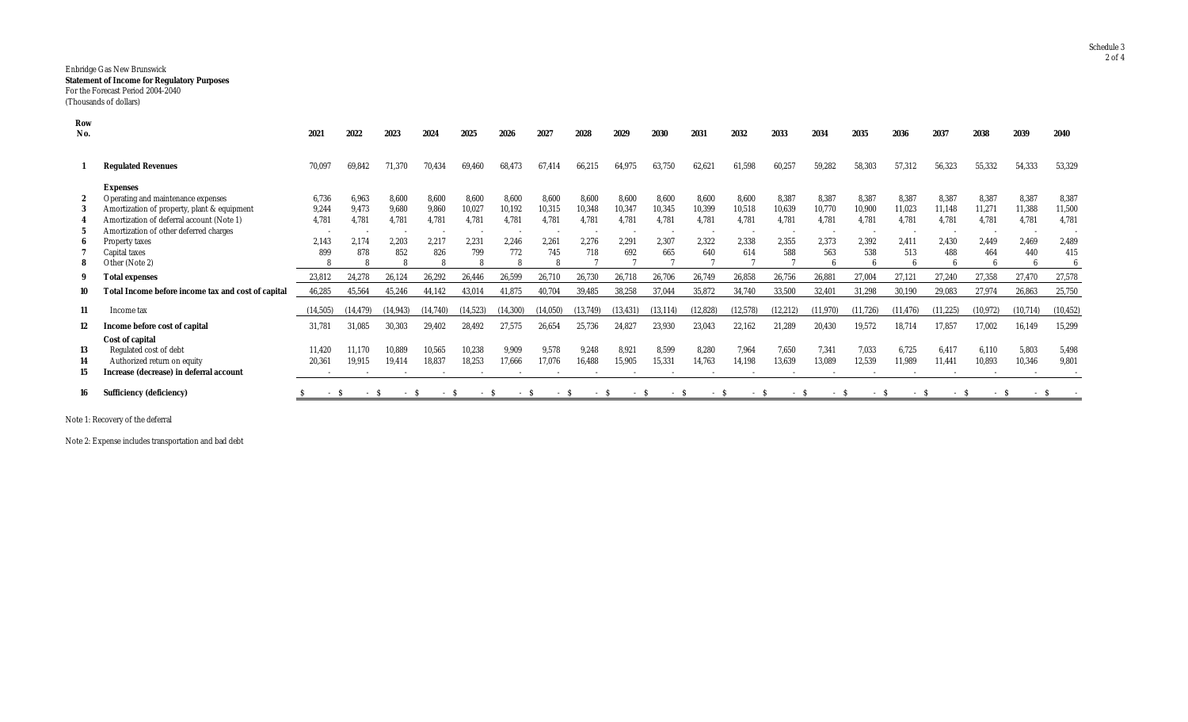## Enbridge Gas New Brunswick **Statement of Income for Regulatory Purposes** For the Forecast Period 2004-2040 (Thousands of dollars)

| Row<br>No. |                                                    | 2021      | 2022      | 2023                     | 2024     | 2025      | 2026      | 2027   | 2028    | 2029      | 2030      | 2031      | 2032      | 2033      | 2034      | 2035      | 2036      | 2037      | 2038     | 2039      | 2040      |
|------------|----------------------------------------------------|-----------|-----------|--------------------------|----------|-----------|-----------|--------|---------|-----------|-----------|-----------|-----------|-----------|-----------|-----------|-----------|-----------|----------|-----------|-----------|
|            |                                                    |           |           |                          |          |           |           |        |         |           |           |           |           |           |           |           |           |           |          |           |           |
|            | <b>Regulated Revenues</b>                          | 70,097    | 69.842    | 71,370                   | 70,434   | 69,460    | 68,473    | 67.414 | 66,215  | 64.975    | 63,750    | 62,621    | 61,598    | 60,257    | 59,282    | 58,303    | 57,312    | 56,323    | 55,332   | 54,333    | 53,329    |
|            | <b>Expenses</b>                                    |           |           |                          |          |           |           |        |         |           |           |           |           |           |           |           |           |           |          |           |           |
|            | Operating and maintenance expenses                 | 6,736     | 6.963     | 8,600                    | 8.600    | 8,600     | 8,600     | 8.600  | 8.600   | 8.600     | 8,600     | 8,600     | 8,600     | 8,387     | 8,387     | 8,387     | 8,387     | 8,387     | 8,387    | 8,387     | 8,387     |
|            | Amortization of property, plant & equipment        | 9,244     | 9.473     | 9,680                    | 9,860    | 10,027    | 10,192    | 10,315 | 10,348  | 10,347    | 10,345    | 10,399    | 10,518    | 10,639    | 10,770    | 10,900    | 11,023    | 11,148    | 11,271   | 11,388    | 11,500    |
|            | Amortization of deferral account (Note 1)          | 4,781     | 4.781     | 4.781                    | 4.781    | 4.781     | 4.781     | 4.781  | 4.781   | 4.781     | 4.781     | 4.781     | 4,781     | 4.781     | 4.781     | 4.781     | 4,781     | 4.781     | 4.781    | 4.781     | 4.781     |
|            | Amortization of other deferred charges             |           |           | $\overline{\phantom{a}}$ |          |           |           |        |         |           |           |           |           |           |           |           |           |           |          |           |           |
|            | Property taxes                                     | 2,143     | 2,174     | 2,203                    | 2,217    | 2,231     | 2,246     | 2,261  | 2,276   | 2,291     | 2,307     | 2,322     | 2,338     | 2,355     | 2,373     | 2,392     | 2,411     | 2,430     | 2,449    | 2.469     | 2,489     |
|            | Capital taxes                                      | 899       | 878       | 852                      | 826      | 799       | 772       | 745    | 718     | 692       | 665       | 640       | 614       | 588       | 563       | 538       | 513       | 488       | 464      | 440       | 415       |
| 8          | Other (Note 2)                                     |           |           | 8                        |          |           |           |        |         |           |           |           |           |           |           |           | R         |           |          |           |           |
|            | <b>Total expenses</b>                              | 23,812    | 24.278    | 26,124                   | 26,292   | 26,446    | 26,599    | 26,710 | 26,730  | 26,718    | 26,706    | 26,749    | 26,858    | 26,756    | 26,881    | 27,004    | 27,121    | 27,240    | 27,358   | 27,470    | 27,578    |
|            | Total Income before income tax and cost of capital | 46,285    | 45,564    | 45,246                   | 44,142   | 43,014    | 41,875    | 40,704 | 39,485  | 38,258    | 37,044    | 35,872    | 34,740    | 33,500    | 32,401    | 31,298    | 30,190    | 29,083    | 27,974   | 26,863    | 25,750    |
| 11         | Income tax                                         | (14, 505) | (14, 479) | (14, 943)                | (14.740) | (14, 523) | (14, 300) |        | (13.749 | (13, 431) | (13, 114) | (12, 828) | (12, 578) | (12, 212) | (11, 970) | (11, 726) | (11, 476) | (11, 225) | (10.972) | (10, 714) | (10, 452) |
| 12         | Income before cost of capital                      | 31,781    | 31.085    | 30,303                   | 29,402   | 28,492    | 27,575    | 26.654 | 25,736  | 24.827    | 23,930    | 23,043    | 22,162    | 21,289    | 20,430    | 19,572    | 18,714    | 17,857    | 17,002   | 16,149    | 15,299    |
|            | Cost of capital                                    |           |           |                          |          |           |           |        |         |           |           |           |           |           |           |           |           |           |          |           |           |
| 13         | Regulated cost of debt                             | 11,420    | 11.170    | 10.889                   | 10,565   | 10,238    | 9,909     | 9,578  | 9,248   | 8,921     | 8,599     | 8,280     | 7,964     | 7.650     | 7,341     | 7.033     | 6.725     | 6.417     | 6,110    | 5,803     | 5,498     |
| 14         | Authorized return on equity                        | 20,361    | 19.915    | 19,414                   | 18,837   | 18,253    | 17,666    | 17,076 | 16,488  | 15,905    | 15,331    | 14,763    | 14,198    | 13,639    | 13,089    | 12,539    | 11,989    | 11,441    | 10,893   | 10,346    | 9,801     |
| 15         | Increase (decrease) in deferral account            |           |           |                          |          |           |           |        |         |           |           |           |           |           |           |           |           |           |          |           |           |
| 16         | <b>Sufficiency (deficiency)</b>                    | $-S$      | - S       | $-S$                     | $-S$     | – S       | $-S$      | $-S$   | $-S$    | $-S$      | - S       | - S       | $-S$      | $-S$      | $-S$      | $-S$      | - S       | $-S$      | $-S$     | - ১       |           |

Note 1: Recovery of the deferral

Note 2: Expense includes transportation and bad debt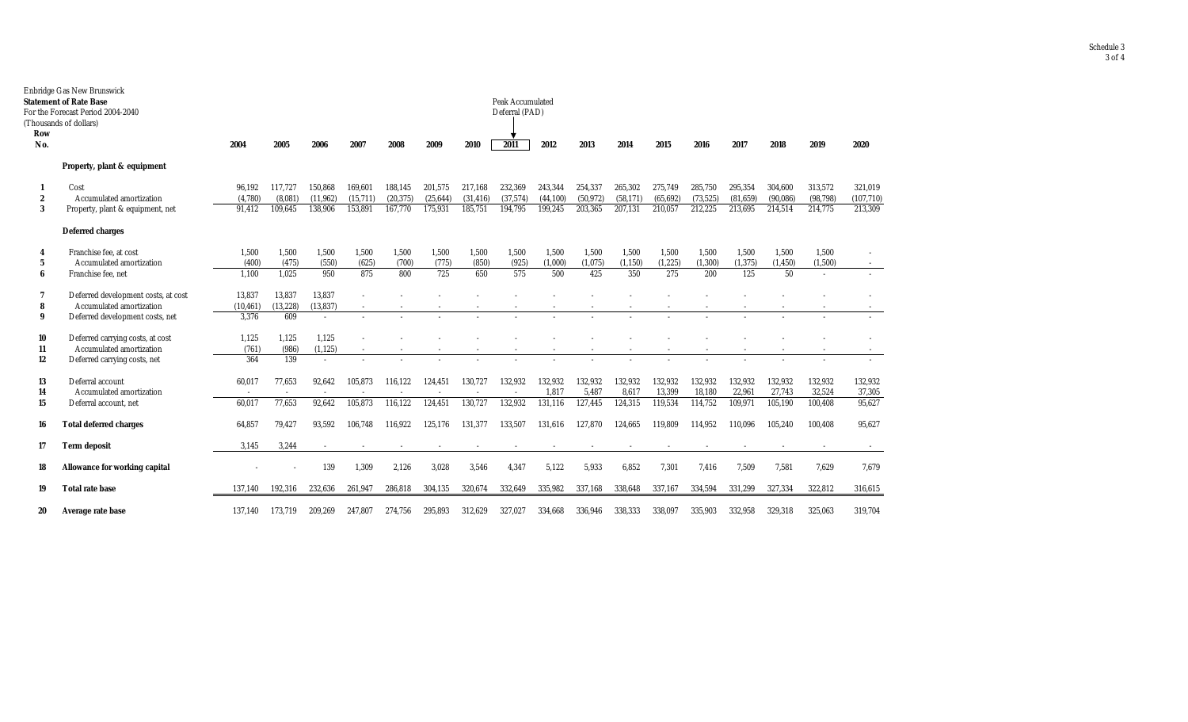| Row              | Enbridge Gas New Brunswick<br><b>Statement of Rate Base</b><br>For the Forecast Period 2004-2040<br>(Thousands of dollars) | Peak Accumulated<br>Deferral (PAD) |           |                          |          |           |           |           |                          |          |          |           |           |           |           |          |           |            |
|------------------|----------------------------------------------------------------------------------------------------------------------------|------------------------------------|-----------|--------------------------|----------|-----------|-----------|-----------|--------------------------|----------|----------|-----------|-----------|-----------|-----------|----------|-----------|------------|
| No.              |                                                                                                                            | 2004                               | 2005      | 2006                     | 2007     | 2008      | 2009      | 2010      | 2011                     | 2012     | 2013     | 2014      | 2015      | 2016      | 2017      | 2018     | 2019      | 2020       |
|                  | Property, plant & equipment                                                                                                |                                    |           |                          |          |           |           |           |                          |          |          |           |           |           |           |          |           |            |
|                  | Cost                                                                                                                       | 96.192                             | 117.727   | 150.868                  | 169.601  | 188.145   | 201.575   | 217.168   | 232,369                  | 243,344  | 254.337  | 265,302   | 275,749   | 285.750   | 295,354   | 304,600  | 313,572   | 321,019    |
| $\boldsymbol{2}$ | Accumulated amortization                                                                                                   | (4,780)                            | (8.081)   | (11, 962)                | (15,711) | (20, 375) | (25, 644) | (31, 416) | (37,574)                 | (44.100) | (50.972) | (58, 171) | (65, 692) | (73, 525) | (81, 659) | (90,086) | (98, 798) | (107, 710) |
| 3                | Property, plant & equipment, net                                                                                           | 91,412                             | 109,645   | 138,906                  | 153,891  | 167,770   | 175,931   | 185,751   | 194,795                  | 199,245  | 203,365  | 207,131   | 210,057   | 212,225   | 213,695   | 214,514  | 214,775   | 213,309    |
|                  | <b>Deferred charges</b>                                                                                                    |                                    |           |                          |          |           |           |           |                          |          |          |           |           |           |           |          |           |            |
| 4                | Franchise fee, at cost                                                                                                     | 1.500                              | 1.500     | 1,500                    | 1,500    | 1.500     | 1.500     | 1,500     | 1,500                    | 1,500    | 1,500    | 1.500     | 1,500     | 1,500     | 1.500     | 1,500    | 1.500     |            |
| 5                | Accumulated amortization                                                                                                   | (400)                              | (475)     | (550)                    | (625)    | (700)     | (775)     | (850)     | (925)                    | (1,000)  | (1,075)  | (1, 150)  | (1, 225)  | (1, 300)  | (1, 375)  | (1, 450) | (1,500)   |            |
| 6                | Franchise fee, net                                                                                                         | 1.100                              | 1.025     | 950                      | 875      | 800       | 725       | 650       | 575                      | 500      | 425      | 350       | 275       | 200       | 125       | 50       |           |            |
|                  | Deferred development costs, at cost                                                                                        | 13,837                             | 13,837    | 13,837                   |          |           |           |           |                          |          |          |           |           |           |           |          |           |            |
| 8                | Accumulated amortization                                                                                                   | (10, 461)                          | (13, 228) | (13, 837)                | $\sim$   |           |           |           |                          |          |          |           |           |           |           |          |           |            |
| 9                | Deferred development costs, net                                                                                            | 3.376                              | 609       | $\sim$                   |          |           |           |           |                          |          |          |           |           |           |           |          |           |            |
| 10               | Deferred carrying costs, at cost                                                                                           | 1,125                              | 1,125     | 1,125                    |          |           |           |           |                          |          |          |           |           |           |           |          |           |            |
| 11               | Accumulated amortization                                                                                                   | (761)                              | (986)     | (1, 125)                 |          |           |           |           |                          |          |          |           |           |           |           |          |           |            |
| 12               | Deferred carrying costs, net                                                                                               | 364                                | 139       | $\sim$                   |          |           |           |           |                          |          |          |           |           |           |           |          |           |            |
| 13               | Deferral account                                                                                                           | 60,017                             | 77,653    | 92,642                   | 105.873  | 116.122   | 124.451   | 130,727   | 132.932                  | 132.932  | 132,932  | 132,932   | 132,932   | 132.932   | 132.932   | 132,932  | 132,932   | 132,932    |
| 14               | Accumulated amortization                                                                                                   |                                    |           | $\overline{\phantom{a}}$ |          |           |           |           | $\overline{\phantom{a}}$ | 1,817    | 5,487    | 8,617     | 13,399    | 18,180    | 22,961    | 27,743   | 32,524    | 37,305     |
| 15               | Deferral account, net                                                                                                      | 60,017                             | 77,653    | 92,642                   | 105,873  | 116,122   | 124,451   | 130,727   | 132,932                  | 131,116  | 127,445  | 124,315   | 119,534   | 114,752   | 109,971   | 105,190  | 100,408   | 95,627     |
| 16               | <b>Total deferred charges</b>                                                                                              | 64.857                             | 79,427    | 93,592                   | 106.748  | 116.922   | 125,176   | 131.377   | 133,507                  | 131,616  | 127.870  | 124.665   | 119,809   | 114.952   | 110.096   | 105,240  | 100.408   | 95,627     |
| 17               | <b>Term deposit</b>                                                                                                        | 3,145                              | 3,244     |                          |          |           |           |           |                          |          |          |           |           |           |           |          |           |            |
| 18               | <b>Allowance for working capital</b>                                                                                       |                                    |           | 139                      | 1,309    | 2,126     | 3,028     | 3,546     | 4,347                    | 5,122    | 5,933    | 6,852     | 7,301     | 7,416     | 7,509     | 7,581    | 7,629     | 7,679      |
| 19               | <b>Total rate base</b>                                                                                                     | 137,140                            | 192,316   | 232.636                  | 261,947  | 286,818   | 304,135   | 320,674   | 332,649                  | 335,982  | 337,168  | 338,648   | 337,167   | 334,594   | 331,299   | 327,334  | 322,812   | 316,615    |
| 20               | Average rate base                                                                                                          | 137,140                            | 173,719   | 209.269                  | 247.807  | 274,756   | 295,893   | 312.629   | 327,027                  | 334.668  | 336.946  | 338,333   | 338.097   | 335.903   | 332.958   | 329,318  | 325,063   | 319,704    |